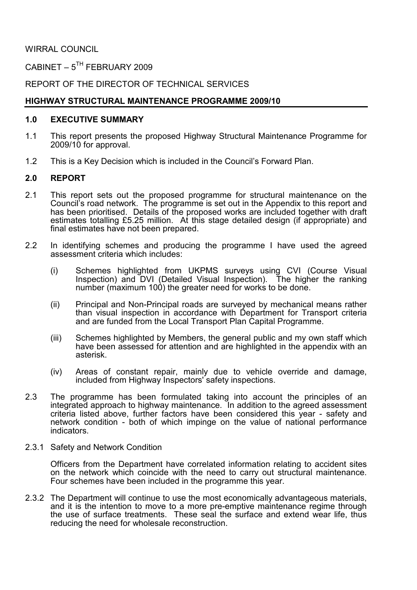WIRRAL COUNCIL

CABINET –  $5^{TH}$  FEBRUARY 2009

REPORT OF THE DIRECTOR OF TECHNICAL SERVICES

# HIGHWAY STRUCTURAL MAINTENANCE PROGRAMME 2009/10

#### 1.0 EXECUTIVE SUMMARY

- 1.1 This report presents the proposed Highway Structural Maintenance Programme for 2009/10 for approval.
- 1.2 This is a Key Decision which is included in the Council's Forward Plan.

## 2.0 REPORT

- 2.1 This report sets out the proposed programme for structural maintenance on the Council's road network. The programme is set out in the Appendix to this report and has been prioritised. Details of the proposed works are included together with draft estimates totalling £5.25 million. At this stage detailed design (if appropriate) and final estimates have not been prepared.
- 2.2 In identifying schemes and producing the programme I have used the agreed assessment criteria which includes:
- (i) Schemes highlighted from UKPMS surveys using CVI (Course Visual Inspection) and DVI (Detailed Visual Inspection). The higher the ranking number (maximum 100) the greater need for works to be done.
	- (ii) Principal and Non-Principal roads are surveyed by mechanical means rather than visual inspection in accordance with Department for Transport criteria and are funded from the Local Transport Plan Capital Programme.
	- (iii) Schemes highlighted by Members, the general public and my own staff which have been assessed for attention and are highlighted in the appendix with an asterisk.
	- (iv) Areas of constant repair, mainly due to vehicle override and damage, included from Highway Inspectors' safety inspections.
- 2.3 The programme has been formulated taking into account the principles of an integrated approach to highway maintenance. In addition to the agreed assessment criteria listed above, further factors have been considered this year - safety and network condition - both of which impinge on the value of national performance indicators.
- 2.3.1 Safety and Network Condition

 Officers from the Department have correlated information relating to accident sites on the network which coincide with the need to carry out structural maintenance. Four schemes have been included in the programme this year.

2.3.2 The Department will continue to use the most economically advantageous materials, and it is the intention to move to a more pre-emptive maintenance regime through the use of surface treatments. These seal the surface and extend wear life, thus reducing the need for wholesale reconstruction.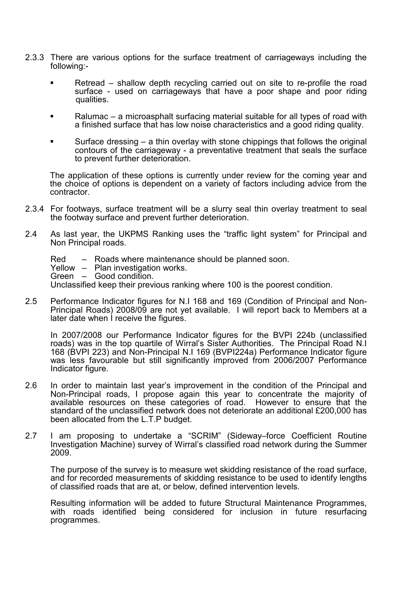- 2.3.3 There are various options for the surface treatment of carriageways including the following:-
	- Retread shallow depth recycling carried out on site to re-profile the road surface - used on carriageways that have a poor shape and poor riding qualities.
	- Ralumac a microasphalt surfacing material suitable for all types of road with a finished surface that has low noise characteristics and a good riding quality.
	- Surface dressing  $-$  a thin overlay with stone chippings that follows the original contours of the carriageway - a preventative treatment that seals the surface to prevent further deterioration.

The application of these options is currently under review for the coming year and the choice of options is dependent on a variety of factors including advice from the contractor.

- 2.3.4 For footways, surface treatment will be a slurry seal thin overlay treatment to seal the footway surface and prevent further deterioration.
- 2.4 As last year, the UKPMS Ranking uses the "traffic light system" for Principal and Non Principal roads.
	- Red Roads where maintenance should be planned soon.
	- Yellow Plan investigation works.
	- Green Good condition.

Unclassified keep their previous ranking where 100 is the poorest condition.

2.5 Performance Indicator figures for N.I 168 and 169 (Condition of Principal and Non-Principal Roads) 2008/09 are not yet available. I will report back to Members at a later date when I receive the figures.

 In 2007/2008 our Performance Indicator figures for the BVPI 224b (unclassified roads) was in the top quartile of Wirral's Sister Authorities. The Principal Road N.I 168 (BVPI 223) and Non-Principal N.I 169 (BVPI224a) Performance Indicator figure was less favourable but still significantly improved from 2006/2007 Performance Indicator figure.

- 2.6 In order to maintain last year's improvement in the condition of the Principal and Non-Principal roads, I propose again this year to concentrate the majority of available resources on these categories of road. However to ensure that the standard of the unclassified network does not deteriorate an additional £200,000 has been allocated from the L.T.P budget.
- 2.7 I am proposing to undertake a "SCRIM" (Sideway–force Coefficient Routine Investigation Machine) survey of Wirral's classified road network during the Summer 2009.

 The purpose of the survey is to measure wet skidding resistance of the road surface, and for recorded measurements of skidding resistance to be used to identify lengths of classified roads that are at, or below, defined intervention levels.

 Resulting information will be added to future Structural Maintenance Programmes, with roads identified being considered for inclusion in future resurfacing programmes.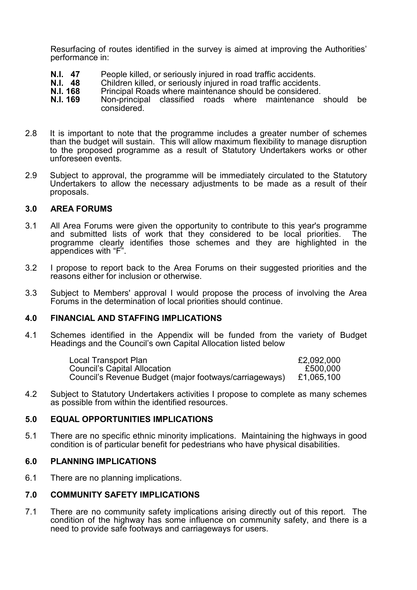Resurfacing of routes identified in the survey is aimed at improving the Authorities' performance in:

- **N.I. 47** People killed, or seriously injured in road traffic accidents.<br>**N.I. 48** Children killed, or seriously injured in road traffic accidents
- **N.I. 48** Children killed, or seriously injured in road traffic accidents.<br>**N.I. 168** Principal Roads where maintenance should be considered.
- **N.I. 168** Principal Roads where maintenance should be considered.<br>**N.I. 169** Non-principal classified roads where maintenance
- Non-principal classified roads where maintenance should be considered.
- 2.8 It is important to note that the programme includes a greater number of schemes than the budget will sustain. This will allow maximum flexibility to manage disruption to the proposed programme as a result of Statutory Undertakers works or other unforeseen events.
- 2.9 Subject to approval, the programme will be immediately circulated to the Statutory Undertakers to allow the necessary adjustments to be made as a result of their proposals.

#### 3.0 AREA FORUMS

- 3.1 All Area Forums were given the opportunity to contribute to this year's programme and submitted lists of work that they considered to be local priorities. The programme clearly identifies those schemes and they are highlighted in the appendices with "F".
- 3.2 I propose to report back to the Area Forums on their suggested priorities and the reasons either for inclusion or otherwise.
- 3.3 Subject to Members' approval I would propose the process of involving the Area Forums in the determination of local priorities should continue.

#### 4.0 FINANCIAL AND STAFFING IMPLICATIONS

4.1 Schemes identified in the Appendix will be funded from the variety of Budget Headings and the Council's own Capital Allocation listed below

| Local Transport Plan                                   | £2,092,000 |
|--------------------------------------------------------|------------|
| <b>Council's Capital Allocation</b>                    | £500,000   |
| Council's Revenue Budget (major footways/carriageways) | £1,065,100 |

4.2 Subject to Statutory Undertakers activities I propose to complete as many schemes as possible from within the identified resources.

#### 5.0 EQUAL OPPORTUNITIES IMPLICATIONS

5.1 There are no specific ethnic minority implications. Maintaining the highways in good condition is of particular benefit for pedestrians who have physical disabilities.

#### 6.0 PLANNING IMPLICATIONS

6.1 There are no planning implications.

## 7.0 COMMUNITY SAFETY IMPLICATIONS

7.1 There are no community safety implications arising directly out of this report. The condition of the highway has some influence on community safety, and there is a need to provide safe footways and carriageways for users.